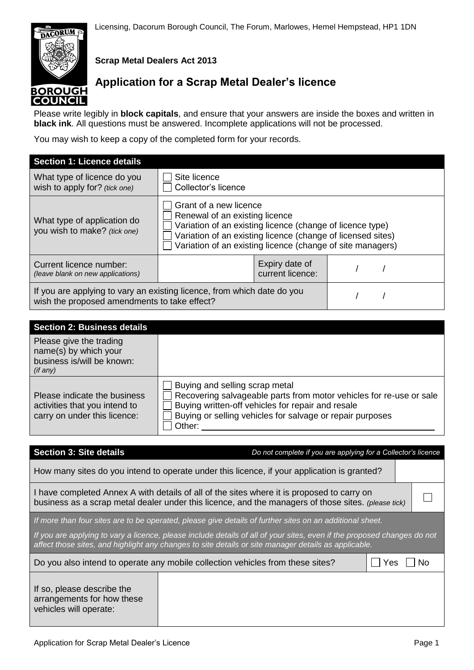**Scrap Metal Dealers Act 2013**

# **Application for a Scrap Metal Dealer's licence**

Please write legibly in **block capitals**, and ensure that your answers are inside the boxes and written in **black ink**. All questions must be answered. Incomplete applications will not be processed.

You may wish to keep a copy of the completed form for your records.

| <b>Section 1: Licence details</b>                                                                                       |                                                                                                                                                                                                                                                    |                                    |  |  |
|-------------------------------------------------------------------------------------------------------------------------|----------------------------------------------------------------------------------------------------------------------------------------------------------------------------------------------------------------------------------------------------|------------------------------------|--|--|
| What type of licence do you<br>wish to apply for? (tick one)                                                            | Site licence<br>Collector's licence                                                                                                                                                                                                                |                                    |  |  |
| What type of application do<br>you wish to make? (tick one)                                                             | Grant of a new licence<br>Renewal of an existing licence<br>Variation of an existing licence (change of licence type)<br>Variation of an existing licence (change of licensed sites)<br>Variation of an existing licence (change of site managers) |                                    |  |  |
| Current licence number:<br>(leave blank on new applications)                                                            |                                                                                                                                                                                                                                                    | Expiry date of<br>current licence: |  |  |
| If you are applying to vary an existing licence, from which date do you<br>wish the proposed amendments to take effect? |                                                                                                                                                                                                                                                    |                                    |  |  |

| <b>Section 2: Business details</b>                                                            |                                                                                                                                                                                                                                   |
|-----------------------------------------------------------------------------------------------|-----------------------------------------------------------------------------------------------------------------------------------------------------------------------------------------------------------------------------------|
| Please give the trading<br>name(s) by which your<br>business is/will be known:<br>(if any)    |                                                                                                                                                                                                                                   |
| Please indicate the business<br>activities that you intend to<br>carry on under this licence: | Buying and selling scrap metal<br>Recovering salvageable parts from motor vehicles for re-use or sale<br>Buying written-off vehicles for repair and resale<br>Buying or selling vehicles for salvage or repair purposes<br>Other: |

| <b>Section 3: Site details</b>                                                                                                                                                                                                  | Do not complete if you are applying for a Collector's licence                                            |  |  |  |
|---------------------------------------------------------------------------------------------------------------------------------------------------------------------------------------------------------------------------------|----------------------------------------------------------------------------------------------------------|--|--|--|
| How many sites do you intend to operate under this licence, if your application is granted?                                                                                                                                     |                                                                                                          |  |  |  |
| I have completed Annex A with details of all of the sites where it is proposed to carry on<br>business as a scrap metal dealer under this licence, and the managers of those sites. (please tick)                               |                                                                                                          |  |  |  |
|                                                                                                                                                                                                                                 | If more than four sites are to be operated, please give details of further sites on an additional sheet. |  |  |  |
| If you are applying to vary a licence, please include details of all of your sites, even if the proposed changes do not<br>affect those sites, and highlight any changes to site details or site manager details as applicable. |                                                                                                          |  |  |  |
| Do you also intend to operate any mobile collection vehicles from these sites?<br>Yes<br>No                                                                                                                                     |                                                                                                          |  |  |  |
| If so, please describe the<br>arrangements for how these<br>vehicles will operate:                                                                                                                                              |                                                                                                          |  |  |  |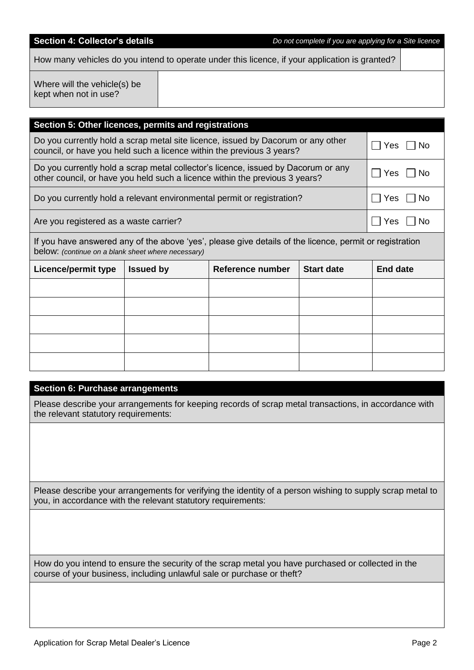| other council, or have you held such a licence within the previous 3 years? |                  |                                                                                                         |                   | <b>Yes</b><br>NO. |
|-----------------------------------------------------------------------------|------------------|---------------------------------------------------------------------------------------------------------|-------------------|-------------------|
| Do you currently hold a relevant environmental permit or registration?      |                  |                                                                                                         |                   | Yes<br>No         |
| Are you registered as a waste carrier?                                      |                  |                                                                                                         |                   | Yes<br><b>No</b>  |
| below: (continue on a blank sheet where necessary)                          |                  | If you have answered any of the above 'yes', please give details of the licence, permit or registration |                   |                   |
| <b>Licence/permit type</b>                                                  | <b>Issued by</b> | <b>Reference number</b>                                                                                 | <b>Start date</b> | <b>End date</b>   |
|                                                                             |                  |                                                                                                         |                   |                   |
|                                                                             |                  |                                                                                                         |                   |                   |
|                                                                             |                  |                                                                                                         |                   |                   |
|                                                                             |                  |                                                                                                         |                   |                   |
|                                                                             |                  |                                                                                                         |                   |                   |
|                                                                             |                  |                                                                                                         |                   |                   |
| <b>Section 6: Purchase arrangements</b>                                     |                  |                                                                                                         |                   |                   |
| the relevant statutory requirements:                                        |                  | Please describe your arrangements for keeping records of scrap metal transactions, in accordance with   |                   |                   |
|                                                                             |                  |                                                                                                         |                   |                   |
|                                                                             |                  |                                                                                                         |                   |                   |
|                                                                             |                  |                                                                                                         |                   |                   |
|                                                                             |                  |                                                                                                         |                   |                   |

How many vehicles do you intend to operate under this licence, if your application is granted?

Where will the vehicle(s) be kept when not in use?

| Where will the vehicle(s) be<br>kept when not in use? |                                                                                                                                                           |          |
|-------------------------------------------------------|-----------------------------------------------------------------------------------------------------------------------------------------------------------|----------|
| Section 5: Other licences, permits and registrations  |                                                                                                                                                           |          |
|                                                       | Do you currently hold a scrap metal site licence, issued by Dacorum or any other<br>council, or have you held such a licence within the previous 3 years? | Yes   No |

| Do you currently hold a scrap metal collector's licence, issued by Dacorum or any | $ \bigcap$ Yes $\bigcap$ No |  |
|-----------------------------------------------------------------------------------|-----------------------------|--|
| other council, or have you held such a licence within the previous 3 years?       |                             |  |

Please describe your arrangements for verifying the identity of a person wishing to supply scrap metal to you, in accordance with the relevant statutory requirements:

How do you intend to ensure the security of the scrap metal you have purchased or collected in the course of your business, including unlawful sale or purchase or theft?

**Section 4: Collector's details** *Do not complete if you are applying for a Site licence*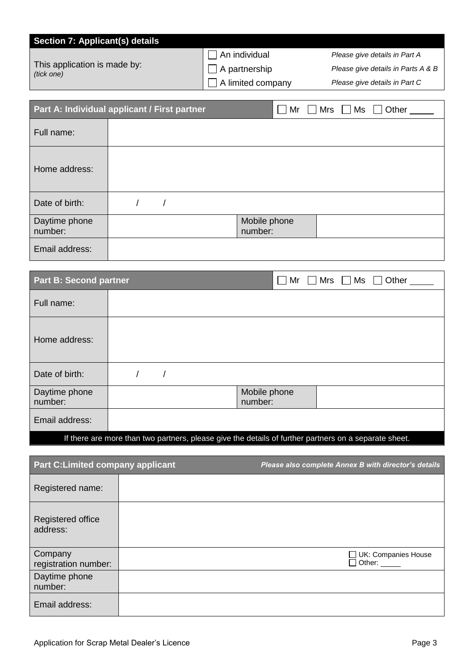| Section 7: Applicant(s) details            |                          |  |                                    |  |  |
|--------------------------------------------|--------------------------|--|------------------------------------|--|--|
|                                            | An individual            |  | Please give details in Part A      |  |  |
| This application is made by:<br>(tick one) | $\Box$ A partnership     |  | Please give details in Parts A & B |  |  |
|                                            | $\Box$ A limited company |  | Please give details in Part C      |  |  |
|                                            |                          |  |                                    |  |  |
| $\mathbf{u} \in \mathbb{R}$                |                          |  |                                    |  |  |

|                          | Part A: Individual applicant / First partner | Mr                      | <b>Mrs</b><br>Ms | Other |
|--------------------------|----------------------------------------------|-------------------------|------------------|-------|
| Full name:               |                                              |                         |                  |       |
| Home address:            |                                              |                         |                  |       |
| Date of birth:           |                                              |                         |                  |       |
| Daytime phone<br>number: |                                              | Mobile phone<br>number: |                  |       |
| Email address:           |                                              |                         |                  |       |

| <b>Part B: Second partner</b> |                         | $\Box$ Mr $\Box$ Mrs $\Box$ Ms $\Box$ Other |
|-------------------------------|-------------------------|---------------------------------------------|
| Full name:                    |                         |                                             |
| Home address:                 |                         |                                             |
| Date of birth:                |                         |                                             |
| Daytime phone<br>number:      | Mobile phone<br>number: |                                             |
| Email address:                |                         |                                             |

If there are more than two partners, please give the details of further partners on a separate sheet.

| <b>Part C:Limited company applicant</b> | Please also complete Annex B with director's details |
|-----------------------------------------|------------------------------------------------------|
| Registered name:                        |                                                      |
| Registered office<br>address:           |                                                      |
| Company<br>registration number:         | $\Box$ UK: Companies House<br>Other:                 |
| Daytime phone<br>number:                |                                                      |
| Email address:                          |                                                      |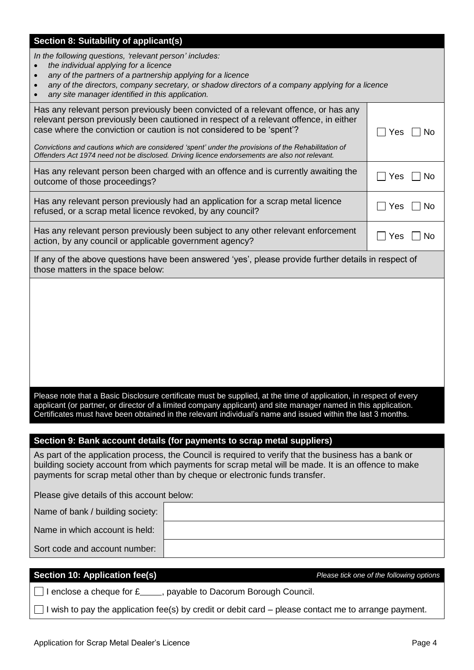| Section 8: Suitability of applicant(s)                                                                                                                                                                                              |           |
|-------------------------------------------------------------------------------------------------------------------------------------------------------------------------------------------------------------------------------------|-----------|
| In the following questions, 'relevant person' includes:                                                                                                                                                                             |           |
| the individual applying for a licence<br>any of the partners of a partnership applying for a licence                                                                                                                                |           |
| any of the directors, company secretary, or shadow directors of a company applying for a licence                                                                                                                                    |           |
| any site manager identified in this application.                                                                                                                                                                                    |           |
| Has any relevant person previously been convicted of a relevant offence, or has any<br>relevant person previously been cautioned in respect of a relevant offence, in either                                                        |           |
| case where the conviction or caution is not considered to be 'spent'?                                                                                                                                                               | Yes<br>No |
| Convictions and cautions which are considered 'spent' under the provisions of the Rehabilitation of                                                                                                                                 |           |
| Offenders Act 1974 need not be disclosed. Driving licence endorsements are also not relevant.                                                                                                                                       |           |
| Has any relevant person been charged with an offence and is currently awaiting the                                                                                                                                                  | Yes<br>No |
| outcome of those proceedings?                                                                                                                                                                                                       |           |
| Has any relevant person previously had an application for a scrap metal licence                                                                                                                                                     | Yes<br>No |
| refused, or a scrap metal licence revoked, by any council?                                                                                                                                                                          |           |
| Has any relevant person previously been subject to any other relevant enforcement                                                                                                                                                   | Yes<br>No |
| action, by any council or applicable government agency?                                                                                                                                                                             |           |
| If any of the above questions have been answered 'yes', please provide further details in respect of<br>those matters in the space below:                                                                                           |           |
|                                                                                                                                                                                                                                     |           |
|                                                                                                                                                                                                                                     |           |
|                                                                                                                                                                                                                                     |           |
|                                                                                                                                                                                                                                     |           |
|                                                                                                                                                                                                                                     |           |
|                                                                                                                                                                                                                                     |           |
|                                                                                                                                                                                                                                     |           |
|                                                                                                                                                                                                                                     |           |
| Please note that a Basic Disclosure certificate must be supplied, at the time of application, in respect of every<br>applicant (or partner, or director of a limited company applicant) and site manager named in this application. |           |
| Certificates must have been obtained in the relevant individual's name and issued within the last 3 months.                                                                                                                         |           |
|                                                                                                                                                                                                                                     |           |
| Section 9: Bank account details (for payments to scrap metal suppliers)                                                                                                                                                             |           |
| As part of the application process, the Council is required to verify that the business has a bank or                                                                                                                               |           |
| building society account from which payments for scrap metal will be made. It is an offence to make<br>payments for scrap metal other than by cheque or electronic funds transfer.                                                  |           |
|                                                                                                                                                                                                                                     |           |
| Please give details of this account below:                                                                                                                                                                                          |           |
| Name of bank / building society:                                                                                                                                                                                                    |           |
| Name in which account is held:                                                                                                                                                                                                      |           |
| Sort code and account number:                                                                                                                                                                                                       |           |
|                                                                                                                                                                                                                                     |           |

**Section 10: Application fee(s)** *Please tick one of the following options*

 $\Box$  I enclose a cheque for £\_\_\_\_, payable to Dacorum Borough Council.

 $\Box$  I wish to pay the application fee(s) by credit or debit card – please contact me to arrange payment.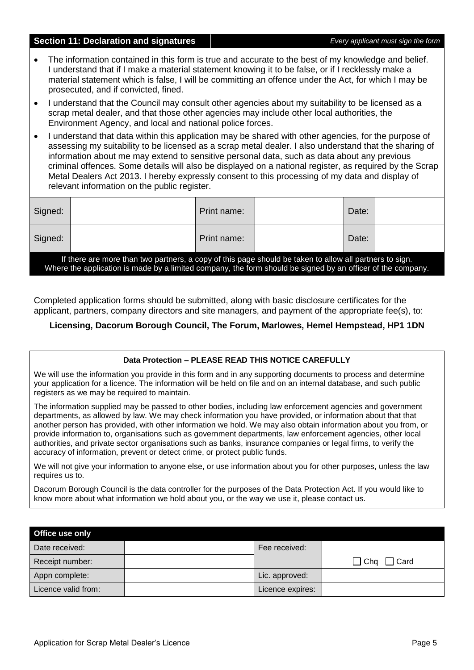#### **Section 11: Declaration and signatures** *Every applicant must sign the form*

- The information contained in this form is true and accurate to the best of my knowledge and belief. I understand that if I make a material statement knowing it to be false, or if I recklessly make a material statement which is false, I will be committing an offence under the Act, for which I may be prosecuted, and if convicted, fined.
- I understand that the Council may consult other agencies about my suitability to be licensed as a scrap metal dealer, and that those other agencies may include other local authorities, the Environment Agency, and local and national police forces.
- I understand that data within this application may be shared with other agencies, for the purpose of assessing my suitability to be licensed as a scrap metal dealer. I also understand that the sharing of information about me may extend to sensitive personal data, such as data about any previous criminal offences. Some details will also be displayed on a national register, as required by the Scrap Metal Dealers Act 2013. I hereby expressly consent to this processing of my data and display of relevant information on the public register.

| Signed:                                                                                                                                                                                                                |  | Print name: |  | Date: |  |
|------------------------------------------------------------------------------------------------------------------------------------------------------------------------------------------------------------------------|--|-------------|--|-------|--|
| Signed:                                                                                                                                                                                                                |  | Print name: |  | Date: |  |
| If there are more than two partners, a copy of this page should be taken to allow all partners to sign.<br>Where the application is made by a limited company, the form should be signed by an officer of the company. |  |             |  |       |  |

Completed application forms should be submitted, along with basic disclosure certificates for the applicant, partners, company directors and site managers, and payment of the appropriate fee(s), to:

### **Licensing, Dacorum Borough Council, The Forum, Marlowes, Hemel Hempstead, HP1 1DN**

#### **Data Protection – PLEASE READ THIS NOTICE CAREFULLY**

We will use the information you provide in this form and in any supporting documents to process and determine your application for a licence. The information will be held on file and on an internal database, and such public registers as we may be required to maintain.

The information supplied may be passed to other bodies, including law enforcement agencies and government departments, as allowed by law. We may check information you have provided, or information about that that another person has provided, with other information we hold. We may also obtain information about you from, or provide information to, organisations such as government departments, law enforcement agencies, other local authorities, and private sector organisations such as banks, insurance companies or legal firms, to verify the accuracy of information, prevent or detect crime, or protect public funds.

We will not give your information to anyone else, or use information about you for other purposes, unless the law requires us to.

Dacorum Borough Council is the data controller for the purposes of the Data Protection Act. If you would like to know more about what information we hold about you, or the way we use it, please contact us.

| Office use only     |                  |                           |
|---------------------|------------------|---------------------------|
| Date received:      | Fee received:    |                           |
| Receipt number:     |                  | $\Box$ Cha $\Box$<br>Card |
| Appn complete:      | Lic. approved:   |                           |
| Licence valid from: | Licence expires: |                           |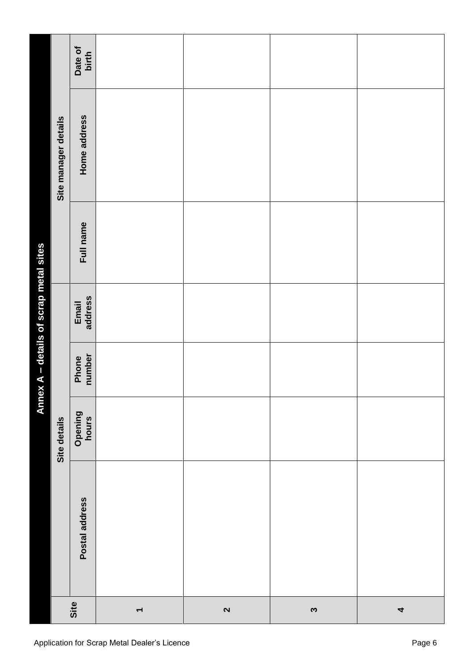|                          |                |                  |                 | Annex A - details of scrap metal sites |           |                      |                  |
|--------------------------|----------------|------------------|-----------------|----------------------------------------|-----------|----------------------|------------------|
| Site                     |                | Site details     |                 |                                        |           | Site manager details |                  |
|                          | Postal address | Opening<br>hours | number<br>Phone | address<br>Email                       | Full name | Home address         | Date of<br>birth |
| $\overline{\phantom{0}}$ |                |                  |                 |                                        |           |                      |                  |
| $\mathbf{\Omega}$        |                |                  |                 |                                        |           |                      |                  |
| $\boldsymbol{\omega}$    |                |                  |                 |                                        |           |                      |                  |
| $\overline{\mathbf{r}}$  |                |                  |                 |                                        |           |                      |                  |